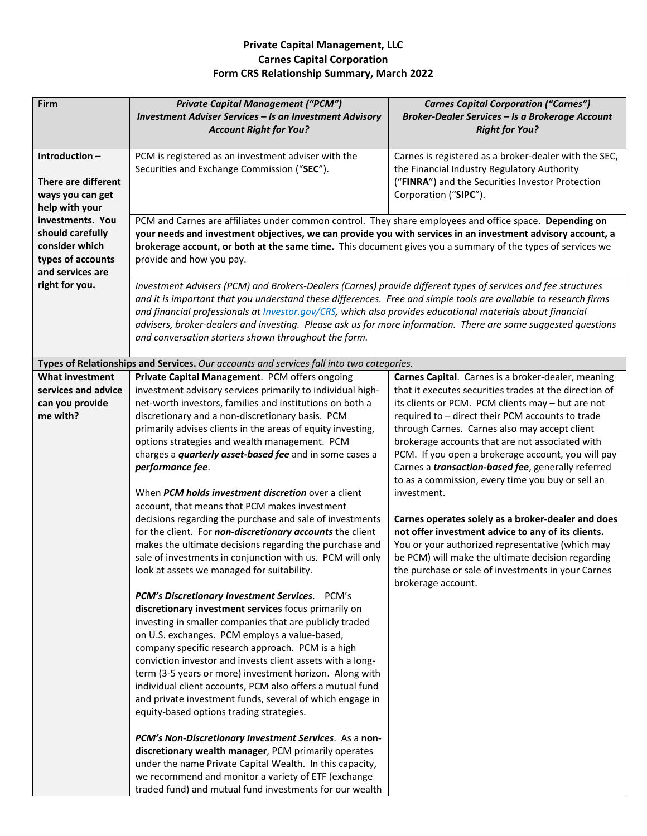## **Private Capital Management, LLC Carnes Capital Corporation Form CRS Relationship Summary, March 2022**

| Firm                                                                                            | <b>Private Capital Management ("PCM")</b><br>Investment Adviser Services - Is an Investment Advisory<br><b>Account Right for You?</b>                                                                                                                                                                                                                                                                                                                                                                                                                                                                                                                                                                                                                                                                                                                                 | <b>Carnes Capital Corporation ("Carnes")</b><br>Broker-Dealer Services - Is a Brokerage Account<br><b>Right for You?</b>                                                                                                                                                                                                                                                                                                                                                                                                                                                                                                                                                                                                                                     |
|-------------------------------------------------------------------------------------------------|-----------------------------------------------------------------------------------------------------------------------------------------------------------------------------------------------------------------------------------------------------------------------------------------------------------------------------------------------------------------------------------------------------------------------------------------------------------------------------------------------------------------------------------------------------------------------------------------------------------------------------------------------------------------------------------------------------------------------------------------------------------------------------------------------------------------------------------------------------------------------|--------------------------------------------------------------------------------------------------------------------------------------------------------------------------------------------------------------------------------------------------------------------------------------------------------------------------------------------------------------------------------------------------------------------------------------------------------------------------------------------------------------------------------------------------------------------------------------------------------------------------------------------------------------------------------------------------------------------------------------------------------------|
| Introduction-<br><b>There are different</b><br>ways you can get<br>help with your               | PCM is registered as an investment adviser with the<br>Securities and Exchange Commission ("SEC").                                                                                                                                                                                                                                                                                                                                                                                                                                                                                                                                                                                                                                                                                                                                                                    | Carnes is registered as a broker-dealer with the SEC,<br>the Financial Industry Regulatory Authority<br>("FINRA") and the Securities Investor Protection<br>Corporation ("SIPC").                                                                                                                                                                                                                                                                                                                                                                                                                                                                                                                                                                            |
| investments. You<br>should carefully<br>consider which<br>types of accounts<br>and services are | PCM and Carnes are affiliates under common control. They share employees and office space. Depending on<br>your needs and investment objectives, we can provide you with services in an investment advisory account, a<br>brokerage account, or both at the same time. This document gives you a summary of the types of services we<br>provide and how you pay.                                                                                                                                                                                                                                                                                                                                                                                                                                                                                                      |                                                                                                                                                                                                                                                                                                                                                                                                                                                                                                                                                                                                                                                                                                                                                              |
| right for you.                                                                                  | Investment Advisers (PCM) and Brokers-Dealers (Carnes) provide different types of services and fee structures<br>and it is important that you understand these differences. Free and simple tools are available to research firms<br>and financial professionals at Investor.gov/CRS, which also provides educational materials about financial<br>advisers, broker-dealers and investing. Please ask us for more information. There are some suggested questions<br>and conversation starters shown throughout the form.                                                                                                                                                                                                                                                                                                                                             |                                                                                                                                                                                                                                                                                                                                                                                                                                                                                                                                                                                                                                                                                                                                                              |
|                                                                                                 | Types of Relationships and Services. Our accounts and services fall into two categories.                                                                                                                                                                                                                                                                                                                                                                                                                                                                                                                                                                                                                                                                                                                                                                              |                                                                                                                                                                                                                                                                                                                                                                                                                                                                                                                                                                                                                                                                                                                                                              |
| <b>What investment</b>                                                                          | Private Capital Management. PCM offers ongoing                                                                                                                                                                                                                                                                                                                                                                                                                                                                                                                                                                                                                                                                                                                                                                                                                        | Carnes Capital. Carnes is a broker-dealer, meaning                                                                                                                                                                                                                                                                                                                                                                                                                                                                                                                                                                                                                                                                                                           |
| services and advice<br>can you provide<br>me with?                                              | investment advisory services primarily to individual high-<br>net-worth investors, families and institutions on both a<br>discretionary and a non-discretionary basis. PCM<br>primarily advises clients in the areas of equity investing,<br>options strategies and wealth management. PCM<br>charges a <i>quarterly asset-based fee</i> and in some cases a<br>performance fee.<br>When PCM holds investment discretion over a client<br>account, that means that PCM makes investment<br>decisions regarding the purchase and sale of investments<br>for the client. For non-discretionary accounts the client<br>makes the ultimate decisions regarding the purchase and<br>sale of investments in conjunction with us. PCM will only<br>look at assets we managed for suitability.                                                                                | that it executes securities trades at the direction of<br>its clients or PCM. PCM clients may - but are not<br>required to - direct their PCM accounts to trade<br>through Carnes. Carnes also may accept client<br>brokerage accounts that are not associated with<br>PCM. If you open a brokerage account, you will pay<br>Carnes a <i>transaction-based fee</i> , generally referred<br>to as a commission, every time you buy or sell an<br>investment.<br>Carnes operates solely as a broker-dealer and does<br>not offer investment advice to any of its clients.<br>You or your authorized representative (which may<br>be PCM) will make the ultimate decision regarding<br>the purchase or sale of investments in your Carnes<br>brokerage account. |
|                                                                                                 | PCM's Discretionary Investment Services. PCM's<br>discretionary investment services focus primarily on<br>investing in smaller companies that are publicly traded<br>on U.S. exchanges. PCM employs a value-based,<br>company specific research approach. PCM is a high<br>conviction investor and invests client assets with a long-<br>term (3-5 years or more) investment horizon. Along with<br>individual client accounts, PCM also offers a mutual fund<br>and private investment funds, several of which engage in<br>equity-based options trading strategies.<br>PCM's Non-Discretionary Investment Services. As a non-<br>discretionary wealth manager, PCM primarily operates<br>under the name Private Capital Wealth. In this capacity,<br>we recommend and monitor a variety of ETF (exchange<br>traded fund) and mutual fund investments for our wealth |                                                                                                                                                                                                                                                                                                                                                                                                                                                                                                                                                                                                                                                                                                                                                              |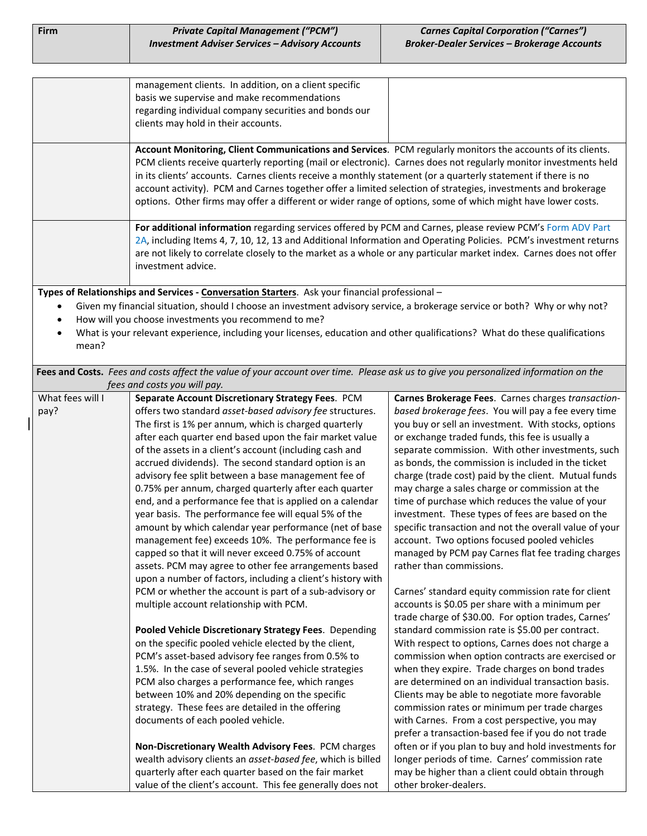| <b>Firm</b> | <b>Private Capital Management ("PCM")</b>              | <b>Carnes Capital Corporation ("Carnes")</b>       |
|-------------|--------------------------------------------------------|----------------------------------------------------|
|             | <b>Investment Adviser Services - Advisory Accounts</b> | <b>Broker-Dealer Services – Brokerage Accounts</b> |

| management clients. In addition, on a client specific<br>basis we supervise and make recommendations<br>regarding individual company securities and bonds our<br>clients may hold in their accounts.                                                                                                                                                                                                                                                                                                                                                                             |  |
|----------------------------------------------------------------------------------------------------------------------------------------------------------------------------------------------------------------------------------------------------------------------------------------------------------------------------------------------------------------------------------------------------------------------------------------------------------------------------------------------------------------------------------------------------------------------------------|--|
| Account Monitoring, Client Communications and Services. PCM regularly monitors the accounts of its clients.<br>PCM clients receive quarterly reporting (mail or electronic). Carnes does not regularly monitor investments held<br>in its clients' accounts. Carnes clients receive a monthly statement (or a quarterly statement if there is no<br>account activity). PCM and Carnes together offer a limited selection of strategies, investments and brokerage<br>options. Other firms may offer a different or wider range of options, some of which might have lower costs. |  |
| For additional information regarding services offered by PCM and Carnes, please review PCM's Form ADV Part<br>2A, including Items 4, 7, 10, 12, 13 and Additional Information and Operating Policies. PCM's investment returns<br>are not likely to correlate closely to the market as a whole or any particular market index. Carnes does not offer<br>investment advice.                                                                                                                                                                                                       |  |

**Types of Relationships and Services ‐ Conversation Starters**. Ask your financial professional –

- Given my financial situation, should I choose an investment advisory service, a brokerage service or both? Why or why not?
- How will you choose investments you recommend to me?
- What is your relevant experience, including your licenses, education and other qualifications? What do these qualifications mean?

**Fees and Costs.** *Fees and costs affect the value of your account over time. Please ask us to give you personalized information on the fees and costs you will pay.* 

| What fees will I | $\cdots$ $\cdots$ $\cdots$ $\cdots$ $\cdots$<br>Separate Account Discretionary Strategy Fees. PCM | Carnes Brokerage Fees. Carnes charges transaction-     |
|------------------|---------------------------------------------------------------------------------------------------|--------------------------------------------------------|
| pay?             | offers two standard asset-based advisory fee structures.                                          | based brokerage fees. You will pay a fee every time    |
|                  | The first is 1% per annum, which is charged quarterly                                             | you buy or sell an investment. With stocks, options    |
|                  | after each quarter end based upon the fair market value                                           | or exchange traded funds, this fee is usually a        |
|                  | of the assets in a client's account (including cash and                                           | separate commission. With other investments, such      |
|                  | accrued dividends). The second standard option is an                                              | as bonds, the commission is included in the ticket     |
|                  | advisory fee split between a base management fee of                                               | charge (trade cost) paid by the client. Mutual funds   |
|                  | 0.75% per annum, charged quarterly after each quarter                                             | may charge a sales charge or commission at the         |
|                  | end, and a performance fee that is applied on a calendar                                          | time of purchase which reduces the value of your       |
|                  | year basis. The performance fee will equal 5% of the                                              | investment. These types of fees are based on the       |
|                  | amount by which calendar year performance (net of base                                            | specific transaction and not the overall value of your |
|                  | management fee) exceeds 10%. The performance fee is                                               | account. Two options focused pooled vehicles           |
|                  | capped so that it will never exceed 0.75% of account                                              | managed by PCM pay Carnes flat fee trading charges     |
|                  | assets. PCM may agree to other fee arrangements based                                             | rather than commissions.                               |
|                  | upon a number of factors, including a client's history with                                       |                                                        |
|                  | PCM or whether the account is part of a sub-advisory or                                           | Carnes' standard equity commission rate for client     |
|                  | multiple account relationship with PCM.                                                           | accounts is \$0.05 per share with a minimum per        |
|                  |                                                                                                   | trade charge of \$30.00. For option trades, Carnes'    |
|                  | Pooled Vehicle Discretionary Strategy Fees. Depending                                             | standard commission rate is \$5.00 per contract.       |
|                  | on the specific pooled vehicle elected by the client,                                             | With respect to options, Carnes does not charge a      |
|                  | PCM's asset-based advisory fee ranges from 0.5% to                                                | commission when option contracts are exercised or      |
|                  | 1.5%. In the case of several pooled vehicle strategies                                            | when they expire. Trade charges on bond trades         |
|                  | PCM also charges a performance fee, which ranges                                                  | are determined on an individual transaction basis.     |
|                  | between 10% and 20% depending on the specific                                                     | Clients may be able to negotiate more favorable        |
|                  | strategy. These fees are detailed in the offering                                                 | commission rates or minimum per trade charges          |
|                  | documents of each pooled vehicle.                                                                 | with Carnes. From a cost perspective, you may          |
|                  |                                                                                                   | prefer a transaction-based fee if you do not trade     |
|                  | Non-Discretionary Wealth Advisory Fees. PCM charges                                               | often or if you plan to buy and hold investments for   |
|                  | wealth advisory clients an asset-based fee, which is billed                                       | longer periods of time. Carnes' commission rate        |
|                  | quarterly after each quarter based on the fair market                                             | may be higher than a client could obtain through       |
|                  | value of the client's account. This fee generally does not                                        | other broker-dealers.                                  |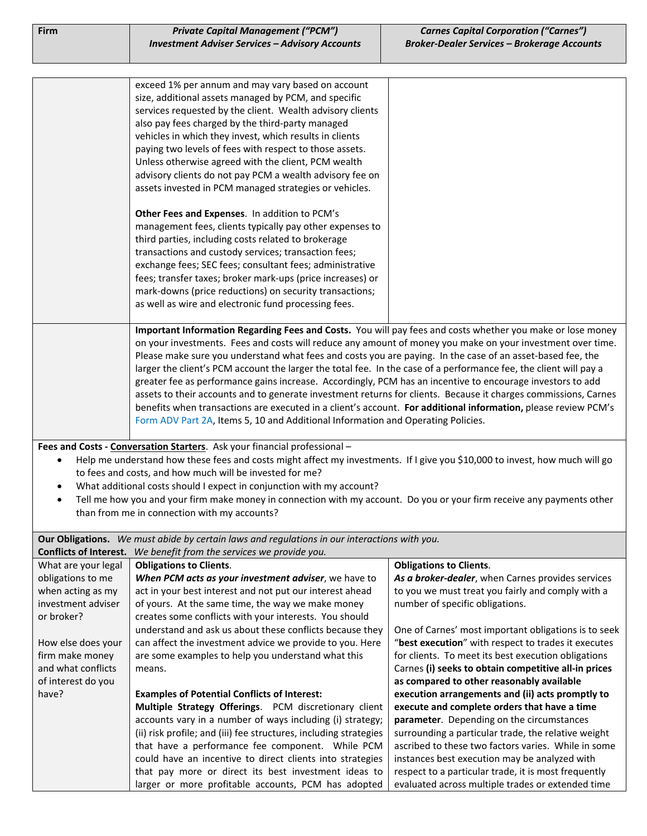| Firm                                    | <b>Private Capital Management ("PCM")</b>                                                                                                                                                          | <b>Carnes Capital Corporation ("Carnes")</b>                                                              |
|-----------------------------------------|----------------------------------------------------------------------------------------------------------------------------------------------------------------------------------------------------|-----------------------------------------------------------------------------------------------------------|
|                                         | <b>Investment Adviser Services - Advisory Accounts</b>                                                                                                                                             | <b>Broker-Dealer Services - Brokerage Accounts</b>                                                        |
|                                         |                                                                                                                                                                                                    |                                                                                                           |
|                                         | exceed 1% per annum and may vary based on account                                                                                                                                                  |                                                                                                           |
|                                         | size, additional assets managed by PCM, and specific                                                                                                                                               |                                                                                                           |
|                                         | services requested by the client. Wealth advisory clients                                                                                                                                          |                                                                                                           |
|                                         | also pay fees charged by the third-party managed                                                                                                                                                   |                                                                                                           |
|                                         | vehicles in which they invest, which results in clients                                                                                                                                            |                                                                                                           |
|                                         | paying two levels of fees with respect to those assets.                                                                                                                                            |                                                                                                           |
|                                         | Unless otherwise agreed with the client, PCM wealth                                                                                                                                                |                                                                                                           |
|                                         | advisory clients do not pay PCM a wealth advisory fee on                                                                                                                                           |                                                                                                           |
|                                         | assets invested in PCM managed strategies or vehicles.                                                                                                                                             |                                                                                                           |
|                                         | Other Fees and Expenses. In addition to PCM's                                                                                                                                                      |                                                                                                           |
|                                         | management fees, clients typically pay other expenses to                                                                                                                                           |                                                                                                           |
|                                         | third parties, including costs related to brokerage                                                                                                                                                |                                                                                                           |
|                                         | transactions and custody services; transaction fees;                                                                                                                                               |                                                                                                           |
|                                         | exchange fees; SEC fees; consultant fees; administrative                                                                                                                                           |                                                                                                           |
|                                         | fees; transfer taxes; broker mark-ups (price increases) or                                                                                                                                         |                                                                                                           |
|                                         | mark-downs (price reductions) on security transactions;                                                                                                                                            |                                                                                                           |
|                                         | as well as wire and electronic fund processing fees.                                                                                                                                               |                                                                                                           |
|                                         | Important Information Regarding Fees and Costs. You will pay fees and costs whether you make or lose money                                                                                         |                                                                                                           |
|                                         | on your investments. Fees and costs will reduce any amount of money you make on your investment over time.                                                                                         |                                                                                                           |
|                                         | Please make sure you understand what fees and costs you are paying. In the case of an asset-based fee, the                                                                                         |                                                                                                           |
|                                         | larger the client's PCM account the larger the total fee. In the case of a performance fee, the client will pay a                                                                                  |                                                                                                           |
|                                         | greater fee as performance gains increase. Accordingly, PCM has an incentive to encourage investors to add                                                                                         |                                                                                                           |
|                                         | assets to their accounts and to generate investment returns for clients. Because it charges commissions, Carnes                                                                                    |                                                                                                           |
|                                         | benefits when transactions are executed in a client's account. For additional information, please review PCM's<br>Form ADV Part 2A, Items 5, 10 and Additional Information and Operating Policies. |                                                                                                           |
|                                         |                                                                                                                                                                                                    |                                                                                                           |
|                                         | Fees and Costs - Conversation Starters. Ask your financial professional -                                                                                                                          |                                                                                                           |
|                                         | Help me understand how these fees and costs might affect my investments. If I give you \$10,000 to invest, how much will go                                                                        |                                                                                                           |
|                                         | to fees and costs, and how much will be invested for me?                                                                                                                                           |                                                                                                           |
|                                         | What additional costs should I expect in conjunction with my account?                                                                                                                              |                                                                                                           |
| $\bullet$                               | Tell me how you and your firm make money in connection with my account. Do you or your firm receive any payments other                                                                             |                                                                                                           |
|                                         | than from me in connection with my accounts?                                                                                                                                                       |                                                                                                           |
|                                         | Our Obligations. We must abide by certain laws and regulations in our interactions with you.                                                                                                       |                                                                                                           |
| <b>Conflicts of Interest.</b>           | We benefit from the services we provide you.                                                                                                                                                       |                                                                                                           |
| What are your legal                     | <b>Obligations to Clients.</b>                                                                                                                                                                     | <b>Obligations to Clients.</b>                                                                            |
| obligations to me                       | When PCM acts as your investment adviser, we have to                                                                                                                                               | As a broker-dealer, when Carnes provides services                                                         |
| when acting as my<br>investment adviser | act in your best interest and not put our interest ahead<br>of yours. At the same time, the way we make money                                                                                      | to you we must treat you fairly and comply with a<br>number of specific obligations.                      |
| or broker?                              | creates some conflicts with your interests. You should                                                                                                                                             |                                                                                                           |
|                                         | understand and ask us about these conflicts because they                                                                                                                                           | One of Carnes' most important obligations is to seek                                                      |
| How else does your                      | can affect the investment advice we provide to you. Here                                                                                                                                           | "best execution" with respect to trades it executes                                                       |
| firm make money                         | are some examples to help you understand what this                                                                                                                                                 | for clients. To meet its best execution obligations                                                       |
| and what conflicts                      | means.                                                                                                                                                                                             | Carnes (i) seeks to obtain competitive all-in prices                                                      |
| of interest do you                      |                                                                                                                                                                                                    | as compared to other reasonably available                                                                 |
| have?                                   | <b>Examples of Potential Conflicts of Interest:</b>                                                                                                                                                | execution arrangements and (ii) acts promptly to                                                          |
|                                         | Multiple Strategy Offerings. PCM discretionary client                                                                                                                                              | execute and complete orders that have a time                                                              |
|                                         | accounts vary in a number of ways including (i) strategy;                                                                                                                                          | parameter. Depending on the circumstances                                                                 |
|                                         | (ii) risk profile; and (iii) fee structures, including strategies                                                                                                                                  | surrounding a particular trade, the relative weight                                                       |
|                                         | that have a performance fee component. While PCM                                                                                                                                                   | ascribed to these two factors varies. While in some                                                       |
|                                         | could have an incentive to direct clients into strategies                                                                                                                                          | instances best execution may be analyzed with                                                             |
|                                         | that pay more or direct its best investment ideas to<br>larger or more profitable accounts, PCM has adopted                                                                                        | respect to a particular trade, it is most frequently<br>evaluated across multiple trades or extended time |